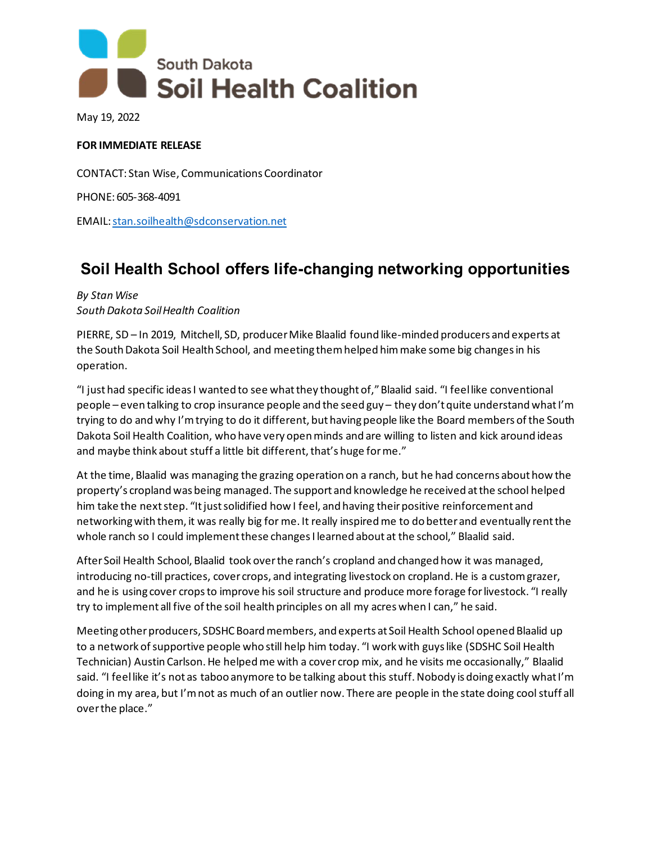

May 19, 2022

## **FOR IMMEDIATE RELEASE**

CONTACT: Stan Wise, Communications Coordinator

PHONE: 605-368-4091

EMAIL[: stan.soilhealth@sdconservation.net](mailto:stan.soilhealth@sdconservation.net)

## **Soil Health School offers life-changing networking opportunities**

## *By Stan Wise South Dakota Soil Health Coalition*

PIERRE, SD – In 2019, Mitchell, SD, producer Mike Blaalid found like-minded producers and experts at the South Dakota Soil Health School, and meeting them helped him make some big changes in his operation.

"I just had specific ideas I wanted to see what they thought of," Blaalid said. "I feel like conventional people – even talking to crop insurance people and the seed guy – they don't quite understand what I'm trying to do and why I'm trying to do it different, but having people like the Board members of the South Dakota Soil Health Coalition, who have very open minds and are willing to listen and kick around ideas and maybe think about stuff a little bit different, that's huge for me."

At the time, Blaalid was managing the grazing operation on a ranch, but he had concerns about how the property's cropland was being managed. The support and knowledge he received at the school helped him take the next step. "It just solidified how I feel, and having their positive reinforcement and networking with them, it was really big for me. It really inspired me to do better and eventually rent the whole ranch so I could implement these changes I learned about at the school," Blaalid said.

After Soil Health School, Blaalid took over the ranch's cropland and changed how it was managed, introducing no-till practices, cover crops, and integrating livestock on cropland. He is a custom grazer, and he is using cover crops to improve his soil structure and produce more forage for livestock. "I really try to implement all five of the soil health principles on all my acres when I can," he said.

Meeting other producers, SDSHC Board members, and experts at Soil Health School opened Blaalid up to a network of supportive people who still help him today. "I work with guys like (SDSHC Soil Health Technician) Austin Carlson. He helped me with a cover crop mix, and he visits me occasionally," Blaalid said. "I feel like it's not as taboo anymore to be talking about this stuff. Nobody is doing exactly what I'm doing in my area, but I'm not as much of an outlier now. There are people in the state doing cool stuff all over the place."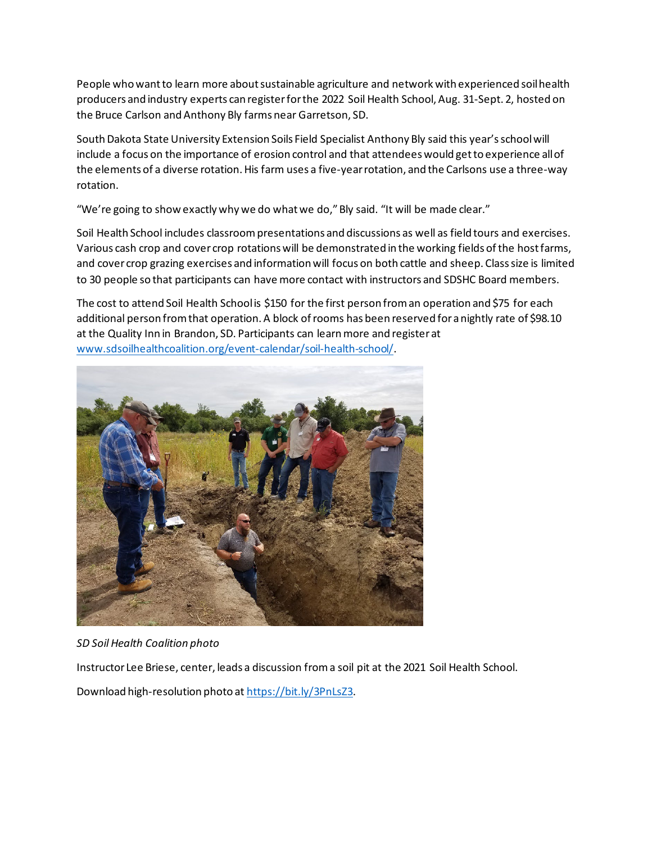People who want to learn more about sustainable agriculture and network with experienced soil health producers and industry experts can register for the 2022 Soil Health School, Aug. 31-Sept. 2, hosted on the Bruce Carlson and Anthony Bly farms near Garretson, SD.

South Dakota State University Extension Soils Field Specialist Anthony Bly said this year's school will include a focus on the importance of erosion control and that attendees would get to experience all of the elements of a diverse rotation. His farm uses a five-year rotation, and the Carlsons use a three-way rotation.

"We're going to show exactly why we do what we do," Bly said. "It will be made clear."

Soil Health School includes classroom presentations and discussions as well as field tours and exercises. Various cash crop and cover crop rotations will be demonstrated in the working fields of the host farms, and cover crop grazing exercises and information will focus on both cattle and sheep. Class size is limited to 30 people so that participants can have more contact with instructors and SDSHC Board members.

The cost to attend Soil Health School is \$150 for the first person from an operation and \$75 for each additional person from that operation. A block of rooms has been reserved for a nightly rate of \$98.10 at the Quality Inn in Brandon, SD. Participants can learn more and register at [www.sdsoilhealthcoalition.org/event-calendar/soil-health-school/.](https://www.sdsoilhealthcoalition.org/event-calendar/soil-health-school/)



*SD Soil Health Coalition photo*

Instructor Lee Briese, center, leads a discussion from a soil pit at the 2021 Soil Health School.

Download high-resolution photo a[t https://bit.ly/3PnLsZ3.](https://bit.ly/3PnLsZ3)